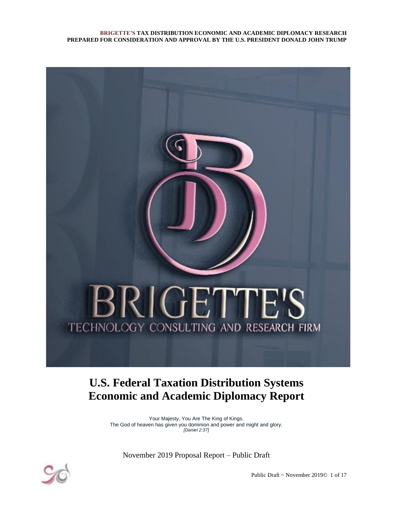

## **U.S. Federal Taxation Distribution Systems Economic and Academic Diplomacy Report**

Your Majesty, You Are The King of Kings. The God of heaven has given you dominion and power and might and glory. *[Daniel 2:37]*

November 2019 Proposal Report – Public Draft



Public Draft ~ November 2019© 1 of 17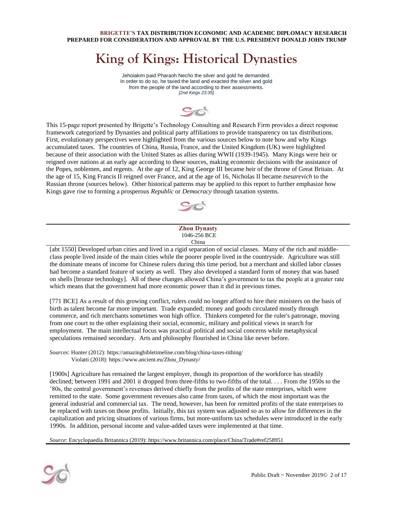## **King of Kings: Historical Dynasties**

Jehoiakim paid Pharaoh Necho the silver and gold he demanded. In order to do so, he taxed the land and exacted the silver and gold from the people of the land according to their assessments. *[2nd Kings 23:35]*

This 15-page report presented by Brigette's Technology Consulting and Research Firm provides a direct response framework categorized by Dynasties and political party affiliations to provide transparency on tax distributions. First, evolutionary perspectives were highlighted from the various sources below to note how and why Kings accumulated taxes. The countries of China, Russia, France, and the United Kingdom (UK) were highlighted because of their association with the United States as allies during WWII (1939-1945). Many Kings were heir or reigned over nations at an early age according to these sources, making economic decisions with the assistance of the Popes, noblemen, and regents. At the age of 12, King George III became heir of the throne of Great Britain. At the age of 15, King Francis II reigned over France, and at the age of 16, Nicholas II became *tsesarevich* to the Russian throne (sources below). Other historical patterns may be applied to this report to further emphasize how Kings gave rise to forming a prosperous *Republic* or *Democracy* through taxation systems.



#### **Zhou Dynasty** 1046-256 BCE China

[abt 1550] Developed urban cities and lived in a rigid separation of social classes. Many of the rich and middleclass people lived inside of the main cities while the poorer people lived in the countryside. Agriculture was still the dominate means of income for Chinese rulers during this time period, but a merchant and skilled labor classes had become a standard feature of society as well. They also developed a standard form of money that was based on shells [bronze technology]. All of these changes allowed China's government to tax the people at a greater rate which means that the government had more economic power than it did in previous times.

[771 BCE] As a result of this growing conflict, rulers could no longer afford to hire their ministers on the basis of birth as talent become far more important. Trade expanded; money and goods circulated mostly through commerce, and rich merchants sometimes won high office. Thinkers competed for the ruler's patronage, moving from one court to the other explaining their social, economic, military and political views in search for employment. The main intellectual focus was practical political and social concerns while metaphysical speculations remained secondary. Arts an[d philosophy](https://www.ancient.eu/philosophy/) flourished in China like never before.

*Sources*: Hunter (2012): https://amazingbibletimeline.com/blog/china-taxes-tithing/ Violatti (2018): https://www.ancient.eu/Zhou\_Dynasty/

[1900s] Agriculture has remained the largest employer, though its proportion of the workforce has steadily declined; between 1991 and 2001 it dropped from three-fifths to two-fifths of the total... . From the 1950s to the '80s, the central government's revenues derived chiefly from the profits of the state enterprises, which were remitted to the state. Some government revenues also came from taxes, of which the most important was the general industrial and commercial tax. The trend, however, has been for remitted profits of the state enterprises to be replaced with taxes on those profits. Initially, this tax system was adjusted so as to allow for differences in the capitalization and pricing situations of various firms, but more-uniform tax schedules were introduced in the early 1990s. In addition, personal income and value-added taxes were implemented at that time.

*Source*: Encyclopaedia Britannica (2019): https://www.britannica.com/place/China/Trade#ref258951

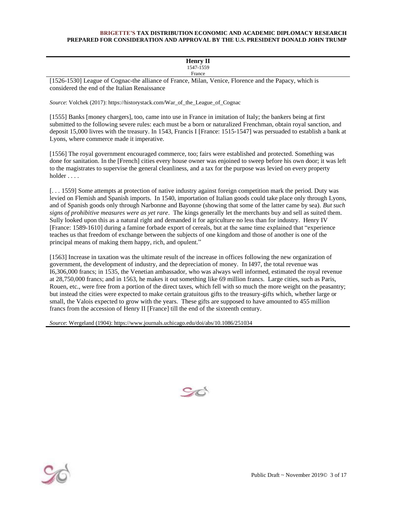| <b>Henry II</b>                                                                                      |  |  |
|------------------------------------------------------------------------------------------------------|--|--|
| 1547-1559                                                                                            |  |  |
| France                                                                                               |  |  |
| [1526-1530] League of Cognac-the alliance of France Milan, Venice, Florence and the Panacy, which is |  |  |

[1526-1530] League of Cognac-the alliance of France, Milan, Venice, Florence and the Papacy, which is considered the end of the Italian Renaissance

*Source*: Volchek (2017): https://historystack.com/War\_of\_the\_League\_of\_Cognac

[1555] Banks [money chargers], too, came into use in France in imitation of Italy; the bankers being at first submitted to the following severe rules: each must be a born or naturalized Frenchman, obtain royal sanction, and deposit 15,000 livres with the treasury. In 1543, Francis I [France: 1515-1547] was persuaded to establish a bank at Lyons, where commerce made it imperative.

[1556] The royal government encouraged commerce, too; fairs were established and protected. Something was done for sanitation. In the [French] cities every house owner was enjoined to sweep before his own door; it was left to the magistrates to supervise the general cleanliness, and a tax for the purpose was levied on every property holder . . . .

[. . . 1559] Some attempts at protection of native industry against foreign competition mark the period. Duty was levied on Flemish and Spanish imports. In 1540, importation of Italian goods could take place only through Lyons, and of Spanish goods only through Narbonne and Bayonne (showing that some of the latter came by sea). *But such signs of prohibitive measures were as yet rare*. The kings generally let the merchants buy and sell as suited them. Sully looked upon this as a natural right and demanded it for agriculture no less than for industry. Henry IV [France: 1589-1610] during a famine forbade export of cereals, but at the same time explained that "experience teaches us that freedom of exchange between the subjects of one kingdom and those of another is one of the principal means of making them happy, rich, and opulent."

[1563] Increase in taxation was the ultimate result of the increase in offices following the new organization of government, the development of industry, and the depreciation of money. In I497, the total revenue was I6,306,000 francs; in 1535, the Venetian ambassador, who was always well informed, estimated the royal revenue at 28,750,000 francs; and in 1563, he makes it out something like 69 million francs. Large cities, such as Paris, Rouen, etc., were free from a portion of the direct taxes, which fell with so much the more weight on the peasantry; but instead the cities were expected to make certain gratuitous gifts to the treasury-gifts which, whether large or small, the Valois expected to grow with the years. These gifts are supposed to have amounted to 455 million francs from the accession of Henry II [France] till the end of the sixteenth century.

*Source*: Wergeland (1904): https://www.journals.uchicago.edu/doi/abs/10.1086/251034



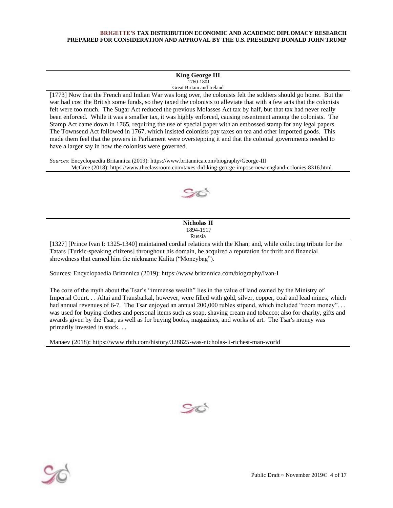#### **King George III** 1760-1801 Great Britain and Ireland

[1773] Now that the French and Indian War was long over, the colonists felt the soldiers should go home. But the war had cost the British some funds, so they taxed the colonists to alleviate that with a few acts that the colonists felt were too much. The Sugar Act reduced the previous Molasses Act tax by half, but that tax had never really been enforced. While it was a smaller tax, it was highly enforced, causing resentment among the colonists. The Stamp Act came down in 1765, requiring the use of special paper with an embossed stamp for any legal papers. The Townsend Act followed in 1767, which insisted colonists pay taxes on tea and other imported goods. This made them feel that the powers in Parliament were overstepping it and that the colonial governments needed to have a larger say in how the colonists were governed.

*Sources*: Encyclopaedia Britannica (2019): https://www.britannica.com/biography/George-III McGree (2018): https://www.theclassroom.com/taxes-did-king-george-impose-new-england-colonies-8316.html



|                                           |              |                       |              | Nicholas II           |               |                         |                                            |
|-------------------------------------------|--------------|-----------------------|--------------|-----------------------|---------------|-------------------------|--------------------------------------------|
|                                           |              |                       |              | 1894-1917             |               |                         |                                            |
| Russia                                    |              |                       |              |                       |               |                         |                                            |
| $\sim$ $\sim$ $\sim$ $\sim$ $\sim$ $\sim$ | $\mathbf{r}$ | $X = 1000$ $A = 1010$ | $\mathbf{r}$ | $\cdots$<br>$\cdot$ . | $1.4 - 1.771$ | $\cdot$ $\cdot$ $\cdot$ | $\mathbf{a}$ , and the set of $\mathbf{a}$ |

[1327] [Prince Ivan I: 1325-1340] maintained cordial relations with the Khan; and, while collecting tribute for the Tatars [Turkic-speaking citizens] throughout his domain, he acquired a reputation for thrift and financial shrewdness that earned him the nickname Kalita ("Moneybag").

Sources: Encyclopaedia Britannica (2019): https://www.britannica.com/biography/Ivan-I

The core of the myth about the Tsar's "immense wealth" lies in the value of land owned by the Ministry of Imperial Court. . . Altai and Transbaikal, however, were filled with gold, silver, copper, coal and lead mines, which had annual revenues of 6-7. The Tsar enjoyed an annual 200,000 rubles stipend, which included "room money"... was used for buying clothes and personal items such as soap, shaving cream and tobacco; also for charity, gifts and awards given by the Tsar; as well as for buying books, magazines, and works of art. The Tsar's money was primarily invested in stock. . .

Manaev (2018): https://www.rbth.com/history/328825-was-nicholas-ii-richest-man-world



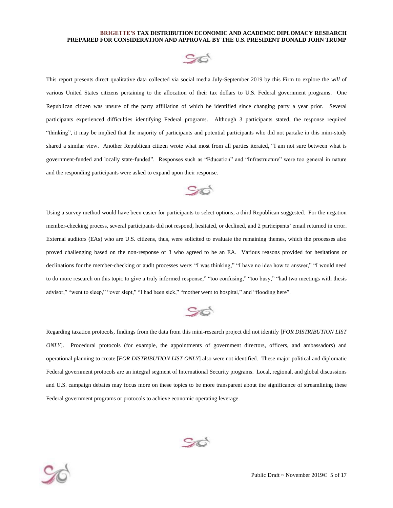

This report presents direct qualitative data collected via social media July-September 2019 by this Firm to explore the *will* of various United States citizens pertaining to the allocation of their tax dollars to U.S. Federal government programs. One Republican citizen was unsure of the party affiliation of which he identified since changing party a year prior. Several participants experienced difficulties identifying Federal programs. Although 3 participants stated, the response required "thinking", it may be implied that the majority of participants and potential participants who did not partake in this mini-study shared a similar view. Another Republican citizen wrote what most from all parties iterated, "I am not sure between what is government-funded and locally state-funded". Responses such as "Education" and "Infrastructure" were too general in nature and the responding participants were asked to expand upon their response.



Using a survey method would have been easier for participants to select options, a third Republican suggested. For the negation member-checking process, several participants did not respond, hesitated, or declined, and 2 participants' email returned in error. External auditors (EAs) who are U.S. citizens, thus, were solicited to evaluate the remaining themes, which the processes also proved challenging based on the non-response of 3 who agreed to be an EA. Various reasons provided for hesitations or declinations for the member-checking or audit processes were: "I was thinking," "I have no idea how to answer," "I would need to do more research on this topic to give a truly informed response," "too confusing," "too busy," "had two meetings with thesis advisor," "went to sleep," "over slept," "I had been sick," "mother went to hospital," and "flooding here".



Regarding taxation protocols, findings from the data from this mini-research project did not identify [*FOR DISTRIBUTION LIST ONLY*]. Procedural protocols (for example, the appointments of government directors, officers, and ambassadors) and operational planning to create [*FOR DISTRIBUTION LIST ONLY*] also were not identified. These major political and diplomatic Federal government protocols are an integral segment of International Security programs. Local, regional, and global discussions and U.S. campaign debates may focus more on these topics to be more transparent about the significance of streamlining these Federal government programs or protocols to achieve economic operating leverage.



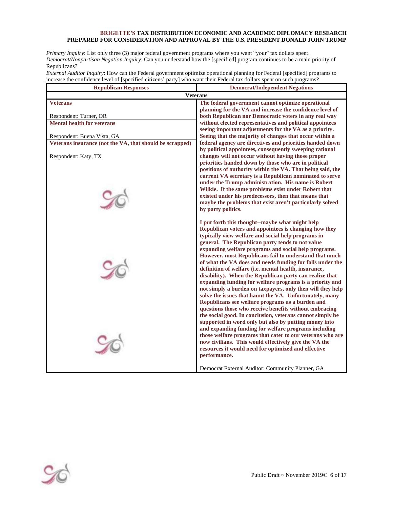*Primary Inquiry*: List only three (3) major federal government programs where you want "your" tax dollars spent. *Democrat/Nonpartisan Negation Inquiry*: Can you understand how the [specified] program continues to be a main priority of Republicans?

*External Auditor Inquiry*: How can the Federal government optimize operational planning for Federal [specified] programs to increase the confidence level of [specified citizens' party] who want their Federal tax dollars spent on such programs?

| <b>Republican Responses</b>                              | <b>Democrat/Independent Negations</b>                                                                               |  |  |
|----------------------------------------------------------|---------------------------------------------------------------------------------------------------------------------|--|--|
| <b>Veterans</b>                                          |                                                                                                                     |  |  |
| <b>Veterans</b>                                          | The federal government cannot optimize operational                                                                  |  |  |
|                                                          | planning for the VA and increase the confidence level of                                                            |  |  |
| Respondent: Turner, OR                                   | both Republican nor Democratic voters in any real way                                                               |  |  |
| <b>Mental health for veterans</b>                        | without elected representatives and political appointees                                                            |  |  |
|                                                          | seeing important adjustments for the VA as a priority.                                                              |  |  |
| Respondent: Buena Vista, GA                              | Seeing that the majority of changes that occur within a                                                             |  |  |
| Veterans insurance (not the VA, that should be scrapped) | federal agency are directives and priorities handed down                                                            |  |  |
|                                                          | by political appointees, consequently sweeping rational                                                             |  |  |
| Respondent: Katy, TX                                     | changes will not occur without having those proper                                                                  |  |  |
|                                                          | priorities handed down by those who are in political                                                                |  |  |
|                                                          | positions of authority within the VA. That being said, the                                                          |  |  |
|                                                          | current VA secretary is a Republican nominated to serve<br>under the Trump administration. His name is Robert       |  |  |
|                                                          | Wilkie. If the same problems exist under Robert that                                                                |  |  |
|                                                          | existed under his predecessors, then that means that                                                                |  |  |
|                                                          | maybe the problems that exist aren't particularly solved                                                            |  |  |
|                                                          | by party politics.                                                                                                  |  |  |
|                                                          |                                                                                                                     |  |  |
|                                                          | I put forth this thought--maybe what might help                                                                     |  |  |
|                                                          | Republican voters and appointees is changing how they                                                               |  |  |
|                                                          | typically view welfare and social help programs in                                                                  |  |  |
|                                                          | general. The Republican party tends to not value                                                                    |  |  |
|                                                          | expanding welfare programs and social help programs.                                                                |  |  |
|                                                          | However, most Republicans fail to understand that much                                                              |  |  |
|                                                          | of what the VA does and needs funding for falls under the                                                           |  |  |
|                                                          | definition of welfare (i.e. mental health, insurance,                                                               |  |  |
|                                                          | disability). When the Republican party can realize that<br>expanding funding for welfare programs is a priority and |  |  |
|                                                          | not simply a burden on taxpayers, only then will they help                                                          |  |  |
|                                                          | solve the issues that haunt the VA. Unfortunately, many                                                             |  |  |
|                                                          | Republicans see welfare programs as a burden and                                                                    |  |  |
|                                                          | questions those who receive benefits without embracing                                                              |  |  |
|                                                          | the social good. In conclusion, veterans cannot simply be                                                           |  |  |
|                                                          | supported in word only but also by putting money into                                                               |  |  |
|                                                          | and expanding funding for welfare programs including                                                                |  |  |
|                                                          | those welfare programs that cater to our veterans who are                                                           |  |  |
|                                                          | now civilians. This would effectively give the VA the                                                               |  |  |
|                                                          | resources it would need for optimized and effective                                                                 |  |  |
|                                                          | performance.                                                                                                        |  |  |
|                                                          |                                                                                                                     |  |  |
|                                                          | Democrat External Auditor: Community Planner, GA                                                                    |  |  |

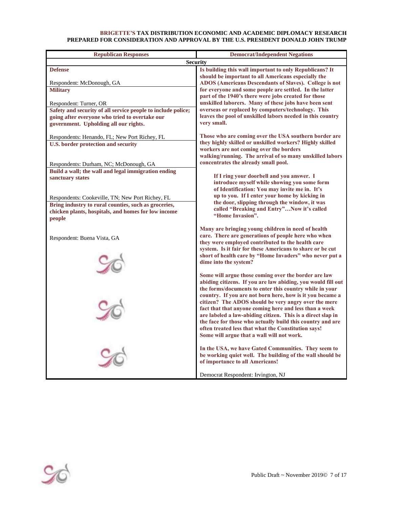| <b>Republican Responses</b>                                                                   | <b>Democrat/Independent Negations</b>                                                                                |  |  |
|-----------------------------------------------------------------------------------------------|----------------------------------------------------------------------------------------------------------------------|--|--|
| <b>Security</b>                                                                               |                                                                                                                      |  |  |
| <b>Defense</b>                                                                                | Is building this wall important to only Republicans? It                                                              |  |  |
|                                                                                               | should be important to all Americans especially the                                                                  |  |  |
| Respondent: McDonough, GA                                                                     | ADOS (Americans Descendants of Slaves). College is not                                                               |  |  |
| <b>Military</b>                                                                               | for everyone and some people are settled. In the latter                                                              |  |  |
|                                                                                               | part of the 1940's there were jobs created for those<br>unskilled laborers. Many of these jobs have been sent        |  |  |
| Respondent: Turner, OR<br>Safety and security of all service people to include police;        | overseas or replaced by computers/technology. This                                                                   |  |  |
| going after everyone who tried to overtake our                                                | leaves the pool of unskilled labors needed in this country                                                           |  |  |
| government. Upholding all our rights.                                                         | very small.                                                                                                          |  |  |
|                                                                                               |                                                                                                                      |  |  |
| Respondents: Henando, FL; New Port Richey, FL                                                 | Those who are coming over the USA southern border are                                                                |  |  |
| <b>U.S. border protection and security</b>                                                    | they highly skilled or unskilled workers? Highly skilled                                                             |  |  |
|                                                                                               | workers are not coming over the borders<br>walking/running. The arrival of so many unskilled labors                  |  |  |
|                                                                                               | concentrates the already small pool.                                                                                 |  |  |
| Respondents: Durham, NC; McDonough, GA<br>Build a wall; the wall and legal immigration ending |                                                                                                                      |  |  |
| sanctuary states                                                                              | If I ring your doorbell and you answer. I                                                                            |  |  |
|                                                                                               | introduce myself while showing you some form                                                                         |  |  |
|                                                                                               | of Identification: You may invite me in. It's                                                                        |  |  |
| Respondents: Cookeville, TN; New Port Richey, FL                                              | up to you. If I enter your home by kicking in                                                                        |  |  |
| Bring industry to rural counties, such as groceries,                                          | the door, slipping through the window, it was<br>called "Breaking and Entry"Now it's called                          |  |  |
| chicken plants, hospitals, and homes for low income                                           | "Home Invasion".                                                                                                     |  |  |
| people                                                                                        |                                                                                                                      |  |  |
|                                                                                               | Many are bringing young children in need of health                                                                   |  |  |
| Respondent: Buena Vista, GA                                                                   | care. There are generations of people here who when                                                                  |  |  |
|                                                                                               | they were employed contributed to the health care                                                                    |  |  |
|                                                                                               | system. Is it fair for these Americans to share or be cut<br>short of health care by "Home Invaders" who never put a |  |  |
|                                                                                               | dime into the system?                                                                                                |  |  |
|                                                                                               |                                                                                                                      |  |  |
|                                                                                               | Some will argue those coming over the border are law                                                                 |  |  |
|                                                                                               | abiding citizens. If you are law abiding, you would fill out                                                         |  |  |
|                                                                                               | the forms/documents to enter this country while in your                                                              |  |  |
|                                                                                               | country. If you are not born here, how is it you became a                                                            |  |  |
|                                                                                               | citizen? The ADOS should be very angry over the mere<br>fact that that anyone coming here and less than a week       |  |  |
|                                                                                               | are labeled a law-abiding citizen. This is a direct slap in                                                          |  |  |
|                                                                                               | the face for those who actually build this country and are                                                           |  |  |
|                                                                                               | often treated less that what the Constitution says!                                                                  |  |  |
|                                                                                               | Some will argue that a wall will not work.                                                                           |  |  |
|                                                                                               |                                                                                                                      |  |  |
|                                                                                               | In the USA, we have Gated Communities. They seem to<br>be working quiet well. The building of the wall should be     |  |  |
|                                                                                               | of importance to all Americans!                                                                                      |  |  |
|                                                                                               |                                                                                                                      |  |  |
|                                                                                               | Democrat Respondent: Irvington, NJ                                                                                   |  |  |

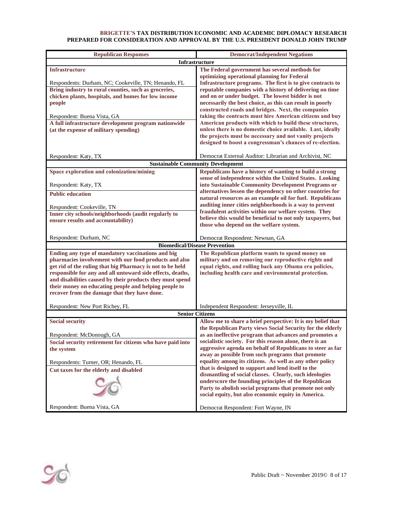| <b>Republican Responses</b>                                                                                                                                                                                                                                                                                                                                                                                  | <b>Democrat/Independent Negations</b>                                                                                                                                                                                                                                                                                                                                                                  |  |  |
|--------------------------------------------------------------------------------------------------------------------------------------------------------------------------------------------------------------------------------------------------------------------------------------------------------------------------------------------------------------------------------------------------------------|--------------------------------------------------------------------------------------------------------------------------------------------------------------------------------------------------------------------------------------------------------------------------------------------------------------------------------------------------------------------------------------------------------|--|--|
|                                                                                                                                                                                                                                                                                                                                                                                                              | <b>Infrastructure</b>                                                                                                                                                                                                                                                                                                                                                                                  |  |  |
| Infrastructure<br>Respondents: Durham, NC; Cookeville, TN; Henando, FL<br>Bring industry to rural counties, such as groceries,<br>chicken plants, hospitals, and homes for low income<br>people                                                                                                                                                                                                              | The Federal government has several methods for<br>optimizing operational planning for Federal<br>Infrastructure programs. The first is to give contracts to<br>reputable companies with a history of delivering on time<br>and on or under budget. The lowest bidder is not<br>necessarily the best choice, as this can result in poorly                                                               |  |  |
| Respondent: Buena Vista, GA<br>A full infrastructure development program nationwide<br>(at the expense of military spending)                                                                                                                                                                                                                                                                                 | constructed roads and bridges. Next, the companies<br>taking the contracts must hire American citizens and buy<br>American products with which to build these structures,<br>unless there is no domestic choice available. Last, ideally<br>the projects must be necessary and not vanity projects<br>designed to boost a congressman's chances of re-election.                                        |  |  |
| Respondent: Katy, TX                                                                                                                                                                                                                                                                                                                                                                                         | Democrat External Auditor: Librarian and Archivist, NC                                                                                                                                                                                                                                                                                                                                                 |  |  |
|                                                                                                                                                                                                                                                                                                                                                                                                              | <b>Sustainable Community Development</b>                                                                                                                                                                                                                                                                                                                                                               |  |  |
| Space exploration and colonization/mining<br>Respondent: Katy, TX<br><b>Public education</b>                                                                                                                                                                                                                                                                                                                 | Republicans have a history of wanting to build a strong<br>sense of independence within the United States. Looking<br>into Sustainable Community Development Programs or<br>alternatives lessen the dependency on other countries for                                                                                                                                                                  |  |  |
| Respondent: Cookeville, TN<br>Inner city schools/neighborhoods (audit regularly to<br>ensure results and accountability)                                                                                                                                                                                                                                                                                     | natural resources as an example oil for fuel. Republicans<br>auditing inner cities neighborhoods is a way to prevent<br>fraudulent activities within our welfare system. They<br>believe this would be beneficial to not only taxpayers, but<br>those who depend on the welfare system.                                                                                                                |  |  |
| Respondent: Durham, NC                                                                                                                                                                                                                                                                                                                                                                                       | Democrat Respondent: Newnan, GA                                                                                                                                                                                                                                                                                                                                                                        |  |  |
| <b>Biomedical/Disease Prevention</b>                                                                                                                                                                                                                                                                                                                                                                         |                                                                                                                                                                                                                                                                                                                                                                                                        |  |  |
| Ending any type of mandatory vaccinations and big<br>pharmacies involvement with our food products and also<br>get rid of the ruling that big Pharmacy is not to be held<br>responsible for any and all untoward side effects, deaths,<br>and disabilities caused by their products they must spend<br>their money on educating people and helping people to<br>recover from the damage that they have done. | The Republican platform wants to spend money on<br>military and on removing our reproductive rights and<br>equal rights, and rolling back any Obama era policies,<br>including health care and environmental protection.                                                                                                                                                                               |  |  |
| Respondent: New Port Richey, FL                                                                                                                                                                                                                                                                                                                                                                              | Independent Respondent: Jerseyville, IL                                                                                                                                                                                                                                                                                                                                                                |  |  |
| <b>Senior Citizens</b>                                                                                                                                                                                                                                                                                                                                                                                       |                                                                                                                                                                                                                                                                                                                                                                                                        |  |  |
| <b>Social security</b><br>Respondent: McDonough, GA<br>Social security retirement for citizens who have paid into<br>the system                                                                                                                                                                                                                                                                              | Allow me to share a brief perspective: It is my belief that<br>the Republican Party views Social Security for the elderly<br>as an ineffective program that advances and promotes a<br>socialistic society. For this reason alone, there is an<br>aggressive agenda on behalf of Republicans to steer as far                                                                                           |  |  |
| Respondents: Turner, OR; Henando, FL<br>Cut taxes for the elderly and disabled                                                                                                                                                                                                                                                                                                                               | away as possible from such programs that promote<br>equality among its citizens. As well as any other policy<br>that is designed to support and lend itself to the<br>dismantling of social classes. Clearly, such ideologies<br>underscore the founding principles of the Republican<br>Party to abolish social programs that promote not only<br>social equity, but also economic equity in America. |  |  |
| Respondent: Buena Vista, GA                                                                                                                                                                                                                                                                                                                                                                                  | Democrat Respondent: Fort Wayne, IN                                                                                                                                                                                                                                                                                                                                                                    |  |  |

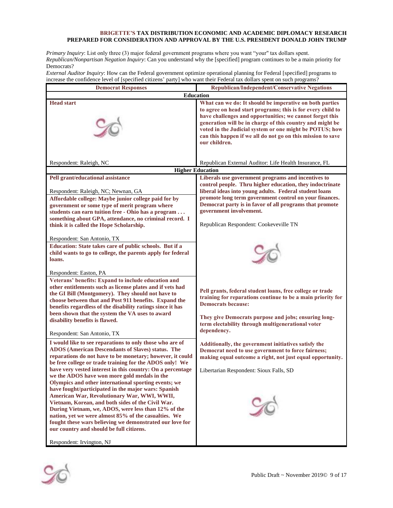*Primary Inquiry*: List only three (3) major federal government programs where you want "your" tax dollars spent. *Republican/Nonpartisan Negation Inquiry*: Can you understand why the [specified] program continues to be a main priority for Democrats?

*External Auditor Inquiry*: How can the Federal government optimize operational planning for Federal [specified] programs to increase the confidence level of [specified citizens' party] who want their Federal tax dollars spent on such programs?

| <b>Democrat Responses</b>                                                                                                                                                                                                                                                                                                                                                                                                                                                                                                                                                                                                                                                                                                                                                                                                         | Republican/Independent/Conservative Negations                                                                                                                                                                                                                                                                                                                                              |  |  |
|-----------------------------------------------------------------------------------------------------------------------------------------------------------------------------------------------------------------------------------------------------------------------------------------------------------------------------------------------------------------------------------------------------------------------------------------------------------------------------------------------------------------------------------------------------------------------------------------------------------------------------------------------------------------------------------------------------------------------------------------------------------------------------------------------------------------------------------|--------------------------------------------------------------------------------------------------------------------------------------------------------------------------------------------------------------------------------------------------------------------------------------------------------------------------------------------------------------------------------------------|--|--|
| <b>Education</b>                                                                                                                                                                                                                                                                                                                                                                                                                                                                                                                                                                                                                                                                                                                                                                                                                  |                                                                                                                                                                                                                                                                                                                                                                                            |  |  |
| <b>Head start</b>                                                                                                                                                                                                                                                                                                                                                                                                                                                                                                                                                                                                                                                                                                                                                                                                                 | What can we do: It should be imperative on both parties<br>to agree on head start programs; this is for every child to<br>have challenges and opportunities; we cannot forget this<br>generation will be in charge of this country and might be<br>voted in the Judicial system or one might be POTUS; how<br>can this happen if we all do not go on this mission to save<br>our children. |  |  |
| Respondent: Raleigh, NC                                                                                                                                                                                                                                                                                                                                                                                                                                                                                                                                                                                                                                                                                                                                                                                                           | Republican External Auditor: Life Health Insurance, FL                                                                                                                                                                                                                                                                                                                                     |  |  |
|                                                                                                                                                                                                                                                                                                                                                                                                                                                                                                                                                                                                                                                                                                                                                                                                                                   | <b>Higher Education</b>                                                                                                                                                                                                                                                                                                                                                                    |  |  |
| Pell grant/educational assistance<br>Respondent: Raleigh, NC; Newnan, GA<br>Affordable college: Maybe junior college paid for by<br>government or some type of merit program where<br>students can earn tuition free - Ohio has a program<br>something about GPA, attendance, no criminal record. I<br>think it is called the Hope Scholarship.<br>Respondent: San Antonio, TX<br>Education: State takes care of public schools. But if a<br>child wants to go to college, the parents apply for federal<br>loans.                                                                                                                                                                                                                                                                                                                | Liberals use government programs and incentives to<br>control people. Thru higher education, they indoctrinate<br>liberal ideas into young adults. Federal student loans<br>promote long term government control on your finances.<br>Democrat party is in favor of all programs that promote<br>government involvement.<br>Republican Respondent: Cookeveville TN                         |  |  |
| Respondent: Easton, PA<br>Veterans' benefits: Expand to include education and<br>other entitlements such as license plates and if vets had<br>the GI Bill (Montgomery). They should not have to<br>choose between that and Post 911 benefits. Expand the<br>benefits regardless of the disability ratings since it has<br>been shown that the system the VA uses to award<br>disability benefits is flawed.<br>Respondent: San Antonio, TX                                                                                                                                                                                                                                                                                                                                                                                        | Pell grants, federal student loans, free college or trade<br>training for reparations continue to be a main priority for<br><b>Democrats because:</b><br>They give Democrats purpose and jobs; ensuring long-<br>term electability through multigenerational voter<br>dependency.                                                                                                          |  |  |
| I would like to see reparations to only those who are of<br><b>ADOS</b> (American Descendants of Slaves) status. The<br>reparations do not have to be monetary; however, it could<br>be free college or trade training for the ADOS only! We<br>have very vested interest in this country: On a percentage<br>we the ADOS have won more gold medals in the<br>Olympics and other international sporting events; we<br>have fought/participated in the major wars: Spanish<br>American War, Revolutionary War, WWI, WWII,<br>Vietnam, Korean, and both sides of the Civil War.<br>During Vietnam, we, ADOS, were less than 12% of the<br>nation, yet we were almost 85% of the casualties. We<br>fought these wars believing we demonstrated our love for<br>our country and should be full citizens.<br>Respondent: Irvington, NJ | Additionally, the government initiatives satisfy the<br>Democrat need to use government to force fairness;<br>making equal outcome a right, not just equal opportunity.<br>Libertarian Respondent: Sioux Falls, SD                                                                                                                                                                         |  |  |

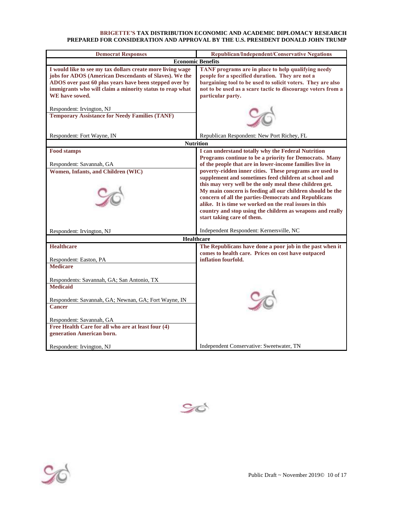| <b>Democrat Responses</b>                                                                                                                                                                                                                                                                                               | <b>Republican/Independent/Conservative Negations</b>                                                                                                                                                                                                                                                                                                                                                                                                                                                                                                                                                                            |  |  |
|-------------------------------------------------------------------------------------------------------------------------------------------------------------------------------------------------------------------------------------------------------------------------------------------------------------------------|---------------------------------------------------------------------------------------------------------------------------------------------------------------------------------------------------------------------------------------------------------------------------------------------------------------------------------------------------------------------------------------------------------------------------------------------------------------------------------------------------------------------------------------------------------------------------------------------------------------------------------|--|--|
| <b>Economic Benefits</b>                                                                                                                                                                                                                                                                                                |                                                                                                                                                                                                                                                                                                                                                                                                                                                                                                                                                                                                                                 |  |  |
| I would like to see my tax dollars create more living wage<br>jobs for ADOS (American Descendants of Slaves). We the<br>ADOS over past 60 plus years have been stepped over by<br>immigrants who will claim a minority status to reap what<br>WE have sowed.                                                            | TANF programs are in place to help qualifying needy<br>people for a specified duration. They are not a<br>bargaining tool to be used to solicit voters. They are also<br>not to be used as a scare tactic to discourage voters from a<br>particular party.                                                                                                                                                                                                                                                                                                                                                                      |  |  |
| Respondent: Irvington, NJ<br><b>Temporary Assistance for Needy Families (TANF)</b>                                                                                                                                                                                                                                      |                                                                                                                                                                                                                                                                                                                                                                                                                                                                                                                                                                                                                                 |  |  |
| Respondent: Fort Wayne, IN                                                                                                                                                                                                                                                                                              | Republican Respondent: New Port Richey, FL                                                                                                                                                                                                                                                                                                                                                                                                                                                                                                                                                                                      |  |  |
|                                                                                                                                                                                                                                                                                                                         | <b>Nutrition</b>                                                                                                                                                                                                                                                                                                                                                                                                                                                                                                                                                                                                                |  |  |
| <b>Food stamps</b><br>Respondent: Savannah, GA<br>Women, Infants, and Children (WIC)                                                                                                                                                                                                                                    | I can understand totally why the Federal Nutrition<br>Programs continue to be a priority for Democrats. Many<br>of the people that are in lower-income families live in<br>poverty-ridden inner cities. These programs are used to<br>supplement and sometimes feed children at school and<br>this may very well be the only meal these children get.<br>My main concern is feeding all our children should be the<br>concern of all the parties-Democrats and Republicans<br>alike. It is time we worked on the real issues in this<br>country and stop using the children as weapons and really<br>start taking care of them. |  |  |
| Respondent: Irvington, NJ                                                                                                                                                                                                                                                                                               | Independent Respondent: Kernersville, NC<br>Healthcare                                                                                                                                                                                                                                                                                                                                                                                                                                                                                                                                                                          |  |  |
| <b>Healthcare</b><br>Respondent: Easton, PA<br><b>Medicare</b><br>Respondents: Savannah, GA; San Antonio, TX<br><b>Medicaid</b><br>Respondent: Savannah, GA; Newnan, GA; Fort Wayne, IN<br><b>Cancer</b><br>Respondent: Savannah, GA<br>Free Health Care for all who are at least four (4)<br>generation American born. | The Republicans have done a poor job in the past when it<br>comes to health care. Prices on cost have outpaced<br>inflation fourfold.                                                                                                                                                                                                                                                                                                                                                                                                                                                                                           |  |  |
| Respondent: Irvington, NJ                                                                                                                                                                                                                                                                                               | Independent Conservative: Sweetwater, TN                                                                                                                                                                                                                                                                                                                                                                                                                                                                                                                                                                                        |  |  |



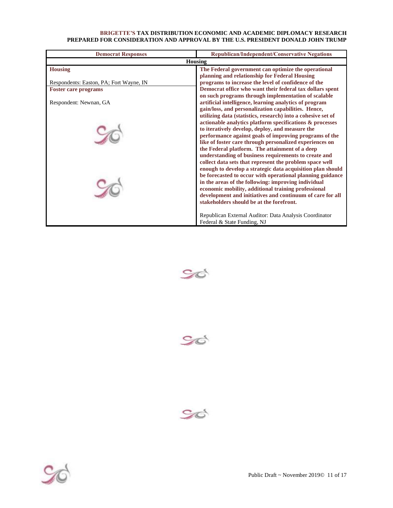| <b>Democrat Responses</b>               | Republican/Independent/Conservative Negations                                                         |  |
|-----------------------------------------|-------------------------------------------------------------------------------------------------------|--|
| <b>Housing</b>                          |                                                                                                       |  |
| <b>Housing</b>                          | The Federal government can optimize the operational                                                   |  |
|                                         | planning and relationship for Federal Housing                                                         |  |
| Respondents: Easton, PA; Fort Wayne, IN | programs to increase the level of confidence of the                                                   |  |
| <b>Foster care programs</b>             | Democrat office who want their federal tax dollars spent                                              |  |
|                                         | on such programs through implementation of scalable                                                   |  |
| Respondent: Newnan, GA                  | artificial intelligence, learning analytics of program                                                |  |
|                                         | gain/loss, and personalization capabilities. Hence,                                                   |  |
|                                         | utilizing data (statistics, research) into a cohesive set of                                          |  |
|                                         | actionable analytics platform specifications & processes                                              |  |
|                                         | to iteratively develop, deploy, and measure the                                                       |  |
|                                         | performance against goals of improving programs of the                                                |  |
|                                         | like of foster care through personalized experiences on                                               |  |
|                                         | the Federal platform. The attainment of a deep                                                        |  |
|                                         | understanding of business requirements to create and                                                  |  |
|                                         | collect data sets that represent the problem space well                                               |  |
|                                         | enough to develop a strategic data acquisition plan should                                            |  |
|                                         | be forecasted to occur with operational planning guidance                                             |  |
|                                         | in the areas of the following: improving individual                                                   |  |
|                                         | economic mobility, additional training professional                                                   |  |
|                                         | development and initiatives and continuum of care for all<br>stakeholders should be at the forefront. |  |
|                                         |                                                                                                       |  |
|                                         |                                                                                                       |  |
|                                         | Republican External Auditor: Data Analysis Coordinator                                                |  |
|                                         | Federal & State Funding, NJ                                                                           |  |







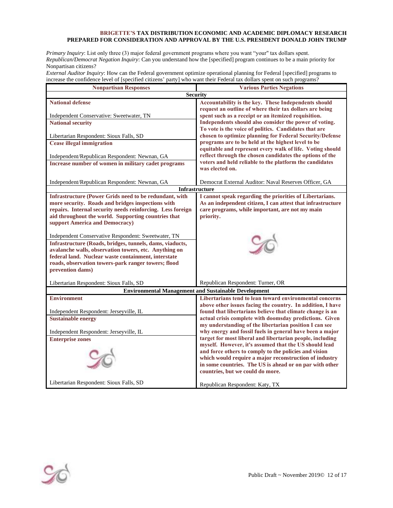*Primary Inquiry*: List only three (3) major federal government programs where you want "your" tax dollars spent. *Republican/Democrat Negation Inquiry*: Can you understand how the [specified] program continues to be a main priority for Nonpartisan citizens?

*External Auditor Inquiry*: How can the Federal government optimize operational planning for Federal [specified] programs to increase the confidence level of [specified citizens' party] who want their Federal tax dollars spent on such programs?

| <b>Nonpartisan Responses</b>                                | <b>Various Parties Negations</b>                                                                               |  |  |
|-------------------------------------------------------------|----------------------------------------------------------------------------------------------------------------|--|--|
| Security                                                    |                                                                                                                |  |  |
| <b>National defense</b>                                     | Accountability is the key. These Independents should                                                           |  |  |
|                                                             | request an outline of where their tax dollars are being                                                        |  |  |
| Independent Conservative: Sweetwater, TN                    | spent such as a receipt or an itemized requisition.                                                            |  |  |
| <b>National security</b>                                    | Independents should also consider the power of voting.                                                         |  |  |
|                                                             | To vote is the voice of politics. Candidates that are                                                          |  |  |
| Libertarian Respondent: Sioux Falls, SD                     | chosen to optimize planning for Federal Security/Defense                                                       |  |  |
| <b>Cease illegal immigration</b>                            | programs are to be held at the highest level to be                                                             |  |  |
|                                                             | equitable and represent every walk of life. Voting should                                                      |  |  |
| Independent/Republican Respondent: Newnan, GA               | reflect through the chosen candidates the options of the                                                       |  |  |
| Increase number of women in military cadet programs         | voters and held reliable to the platform the candidates<br>was elected on.                                     |  |  |
|                                                             |                                                                                                                |  |  |
| Independent/Republican Respondent: Newnan, GA               | Democrat External Auditor: Naval Reserves Officer, GA                                                          |  |  |
|                                                             | <b>Infrastructure</b>                                                                                          |  |  |
| Infrastructure (Power Grids need to be redundant, with      | I cannot speak regarding the priorities of Libertarians.                                                       |  |  |
| more security. Roads and bridges inspections with           | As an independent citizen, I can attest that infrastructure                                                    |  |  |
| repairs. Internal security needs reinforcing. Less foreign  | care programs, while important, are not my main                                                                |  |  |
| aid throughout the world. Supporting countries that         | priority.                                                                                                      |  |  |
| support America and Democracy)                              |                                                                                                                |  |  |
|                                                             |                                                                                                                |  |  |
| Independent Conservative Respondent: Sweetwater, TN         |                                                                                                                |  |  |
| Infrastructure (Roads, bridges, tunnels, dams, viaducts,    |                                                                                                                |  |  |
| avalanche walls, observation towers, etc. Anything on       |                                                                                                                |  |  |
| federal land. Nuclear waste containment, interstate         |                                                                                                                |  |  |
| roads, observation towers-park ranger towers; flood         |                                                                                                                |  |  |
| prevention dams)                                            |                                                                                                                |  |  |
|                                                             |                                                                                                                |  |  |
| Libertarian Respondent: Sioux Falls, SD                     | Republican Respondent: Turner, OR                                                                              |  |  |
| <b>Environmental Management and Sustainable Development</b> |                                                                                                                |  |  |
| <b>Environment</b>                                          | Libertarians tend to lean toward environmental concerns                                                        |  |  |
|                                                             | above other issues facing the country. In addition, I have                                                     |  |  |
| Independent Respondent: Jerseyville, IL                     | found that libertarians believe that climate change is an                                                      |  |  |
| <b>Sustainable energy</b>                                   | actual crisis complete with doomsday predictions. Given                                                        |  |  |
|                                                             | my understanding of the libertarian position I can see                                                         |  |  |
| Independent Respondent: Jerseyville, IL                     | why energy and fossil fuels in general have been a major                                                       |  |  |
| <b>Enterprise zones</b>                                     | target for most liberal and libertarian people, including                                                      |  |  |
|                                                             | myself. However, it's assumed that the US should lead<br>and force others to comply to the policies and vision |  |  |
|                                                             | which would require a major reconstruction of industry                                                         |  |  |
|                                                             | in some countries. The US is ahead or on par with other                                                        |  |  |
|                                                             | countries, but we could do more.                                                                               |  |  |
|                                                             |                                                                                                                |  |  |
| Libertarian Respondent: Sioux Falls, SD                     | Republican Respondent: Katy, TX                                                                                |  |  |
|                                                             |                                                                                                                |  |  |

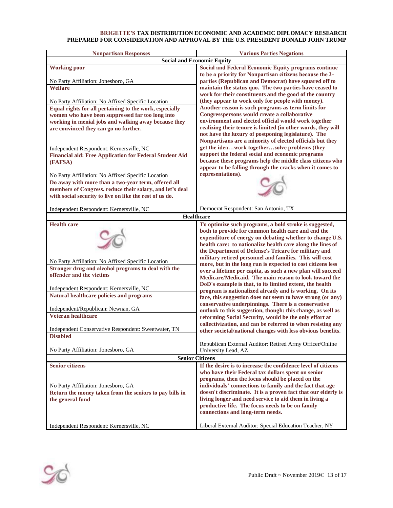| <b>Nonpartisan Responses</b>                                                                                  | <b>Various Parties Negations</b>                                                                                          |
|---------------------------------------------------------------------------------------------------------------|---------------------------------------------------------------------------------------------------------------------------|
|                                                                                                               | <b>Social and Economic Equity</b>                                                                                         |
| <b>Working poor</b>                                                                                           | <b>Social and Federal Economic Equity programs continue</b>                                                               |
|                                                                                                               | to be a priority for Nonpartisan citizens because the 2-                                                                  |
| No Party Affiliation: Jonesboro, GA                                                                           | parties (Republican and Democrat) have squared off to                                                                     |
| <b>Welfare</b>                                                                                                | maintain the status quo. The two parties have ceased to                                                                   |
|                                                                                                               | work for their constituents and the good of the country<br>(they appear to work only for people with money).              |
| No Party Affiliation: No Affixed Specific Location<br>Equal rights for all pertaining to the work, especially | Another reason is such programs as term limits for                                                                        |
| women who have been suppressed far too long into                                                              | Congresspersons would create a collaborative                                                                              |
| working in menial jobs and walking away because they                                                          | environment and elected official would work together                                                                      |
| are convinced they can go no further.                                                                         | realizing their tenure is limited (in other words, they will                                                              |
|                                                                                                               | not have the luxury of postponing legislature). The                                                                       |
|                                                                                                               | Nonpartisans are a minority of elected officials but they                                                                 |
| Independent Respondent: Kernersville, NC                                                                      | get the ideawork togethersolve problems (they                                                                             |
| <b>Financial aid: Free Application for Federal Student Aid</b>                                                | support the federal social and economic programs                                                                          |
| (FAFSA)                                                                                                       | because these programs help the middle class citizens who                                                                 |
|                                                                                                               | appear to be falling through the cracks when it comes to                                                                  |
| No Party Affiliation: No Affixed Specific Location                                                            | representations).                                                                                                         |
| Do away with more than a two-year term, offered all                                                           |                                                                                                                           |
| members of Congress, reduce their salary, and let's deal                                                      |                                                                                                                           |
| with social security to live on like the rest of us do.                                                       |                                                                                                                           |
| Independent Respondent: Kernersville, NC                                                                      | Democrat Respondent: San Antonio, TX                                                                                      |
|                                                                                                               | Healthcare                                                                                                                |
| <b>Health care</b>                                                                                            | To optimize such programs, a bold stroke is suggested,                                                                    |
|                                                                                                               | both to provide for common health care and end the                                                                        |
|                                                                                                               | expenditure of energy on debating whether to change U.S.                                                                  |
|                                                                                                               | health care: to nationalize health care along the lines of                                                                |
|                                                                                                               | the Department of Defense's Tricare for military and                                                                      |
|                                                                                                               | military retired personnel and families. This will cost                                                                   |
| No Party Affiliation: No Affixed Specific Location                                                            | more, but in the long run is expected to cost citizens less                                                               |
| Stronger drug and alcohol programs to deal with the<br>offender and the victims                               | over a lifetime per capita, as such a new plan will succeed                                                               |
|                                                                                                               | Medicare/Medicaid. The main reason to look toward the                                                                     |
| Independent Respondent: Kernersville, NC                                                                      | DoD's example is that, to its limited extent, the health                                                                  |
| Natural healthcare policies and programs                                                                      | program is nationalized already and is working. On its                                                                    |
|                                                                                                               | face, this suggestion does not seem to have strong (or any)<br>conservative underpinnings. There is a conservative        |
| Independent/Republican: Newnan, GA                                                                            | outlook to this suggestion, though: this change, as well as                                                               |
| <b>Veteran healthcare</b>                                                                                     | reforming Social Security, would be the only effort at                                                                    |
|                                                                                                               | collectivization, and can be referred to when resisting any                                                               |
| Independent Conservative Respondent: Sweetwater, TN                                                           | other societal/national changes with less obvious benefits.                                                               |
| <b>Disabled</b>                                                                                               |                                                                                                                           |
|                                                                                                               | Republican External Auditor: Retired Army Officer/Online                                                                  |
| No Party Affiliation: Jonesboro, GA                                                                           | University Lead, AZ                                                                                                       |
|                                                                                                               | <b>Senior Citizens</b>                                                                                                    |
| <b>Senior citizens</b>                                                                                        | If the desire is to increase the confidence level of citizens                                                             |
|                                                                                                               | who have their Federal tax dollars spent on senior                                                                        |
|                                                                                                               | programs, then the focus should be placed on the                                                                          |
| No Party Affiliation: Jonesboro, GA                                                                           | individuals' connections to family and the fact that age<br>doesn't discriminate. It is a proven fact that our elderly is |
| Return the money taken from the seniors to pay bills in<br>the general fund                                   | living longer and need service to aid them in living a                                                                    |
|                                                                                                               | productive life. The focus needs to be on family                                                                          |
|                                                                                                               | connections and long-term needs.                                                                                          |
|                                                                                                               |                                                                                                                           |
| Independent Respondent: Kernersville, NC                                                                      | Liberal External Auditor: Special Education Teacher, NY                                                                   |

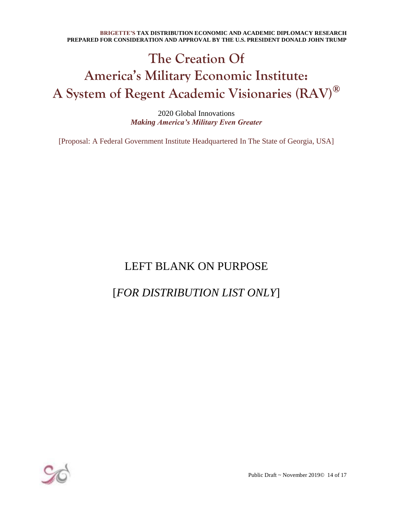# **The Creation Of America's Military Economic Institute: A System of Regent Academic Visionaries (RAV)®**

2020 Global Innovations *Making America's Military Even Greater*

[Proposal: A Federal Government Institute Headquartered In The State of Georgia, USA]

### LEFT BLANK ON PURPOSE

### [*FOR DISTRIBUTION LIST ONLY*]



Public Draft ~ November 2019© 14 of 17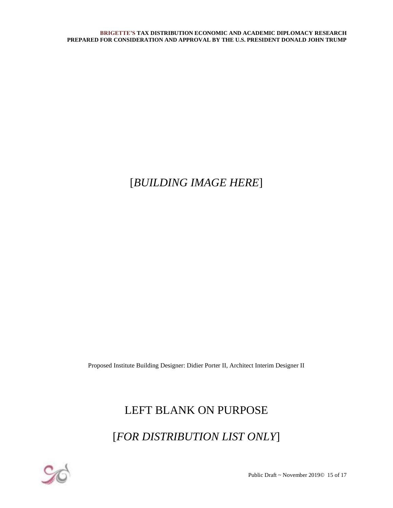## [*BUILDING IMAGE HERE*]

Proposed Institute Building Designer: Didier Porter II, Architect Interim Designer II

## LEFT BLANK ON PURPOSE

[*FOR DISTRIBUTION LIST ONLY*]



Public Draft ~ November 2019© 15 of 17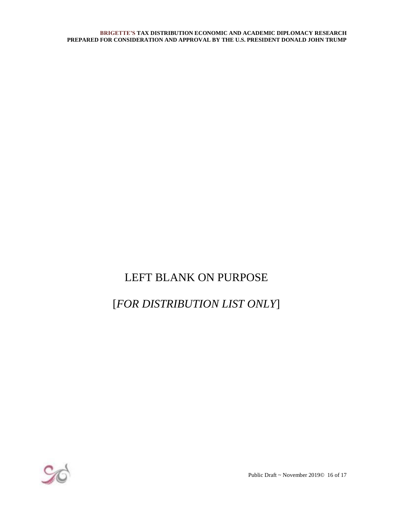## LEFT BLANK ON PURPOSE

## [*FOR DISTRIBUTION LIST ONLY*]



Public Draft ~ November 2019© 16 of 17